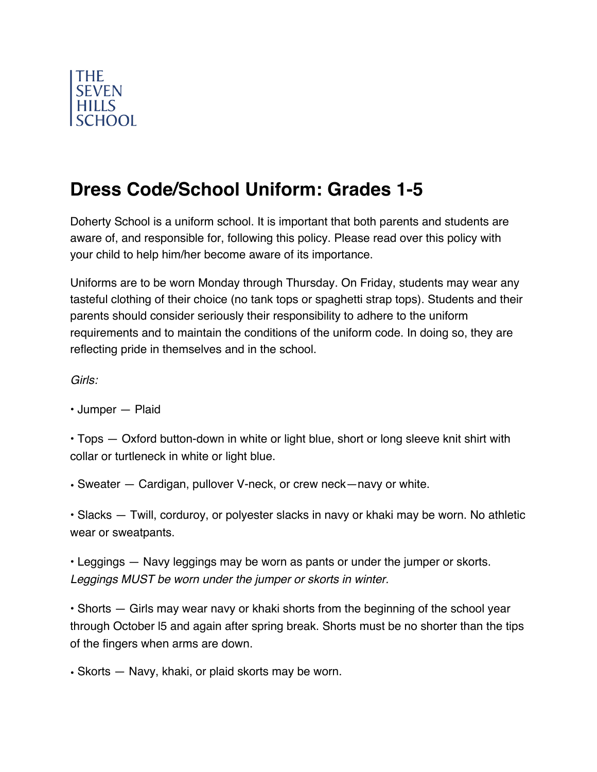

## **Dress Code/School Uniform: Grades 1-5**

Doherty School is a uniform school. It is important that both parents and students are aware of, and responsible for, following this policy. Please read over this policy with your child to help him/her become aware of its importance.

Uniforms are to be worn Monday through Thursday. On Friday, students may wear any tasteful clothing of their choice (no tank tops or spaghetti strap tops). Students and their parents should consider seriously their responsibility to adhere to the uniform requirements and to maintain the conditions of the uniform code. In doing so, they are reflecting pride in themselves and in the school.

*Girls:* 

• Jumper — Plaid

• Tops — Oxford button-down in white or light blue, short or long sleeve knit shirt with collar or turtleneck in white or light blue.

• Sweater — Cardigan, pullover V-neck, or crew neck—navy or white.

• Slacks — Twill, corduroy, or polyester slacks in navy or khaki may be worn. No athletic wear or sweatpants.

• Leggings — Navy leggings may be worn as pants or under the jumper or skorts. *Leggings MUST be worn under the jumper or skorts in winter.* 

• Shorts — Girls may wear navy or khaki shorts from the beginning of the school year through October l5 and again after spring break. Shorts must be no shorter than the tips of the fingers when arms are down.

• Skorts — Navy, khaki, or plaid skorts may be worn.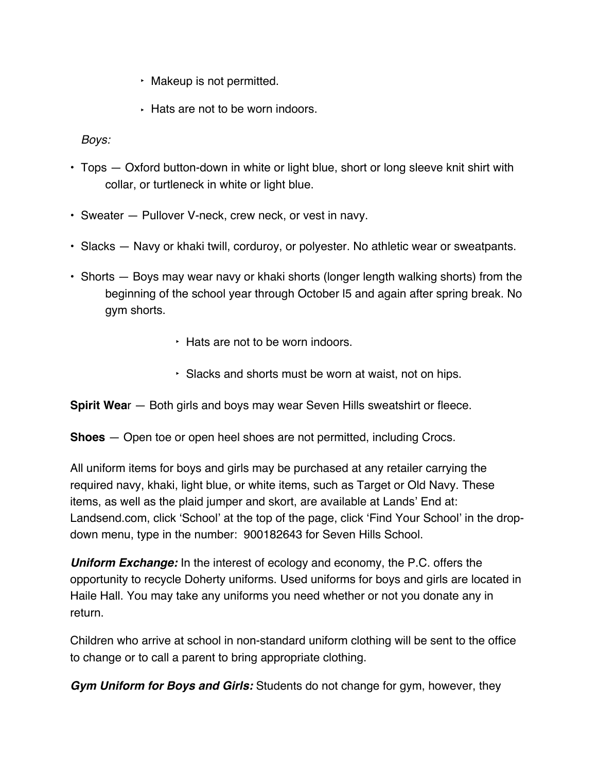- ‣ Makeup is not permitted.
- ‣ Hats are not to be worn indoors.

*Boys:* 

- Tops Oxford button-down in white or light blue, short or long sleeve knit shirt with collar, or turtleneck in white or light blue.
- Sweater Pullover V-neck, crew neck, or vest in navy.
- Slacks Navy or khaki twill, corduroy, or polyester. No athletic wear or sweatpants.
- Shorts Boys may wear navy or khaki shorts (longer length walking shorts) from the beginning of the school year through October l5 and again after spring break. No gym shorts.
	- ‣ Hats are not to be worn indoors.
	- ‣ Slacks and shorts must be worn at waist, not on hips.
- **Spirit Wear** Both girls and boys may wear Seven Hills sweatshirt or fleece.
- **Shoes**  Open toe or open heel shoes are not permitted, including Crocs*.*

All uniform items for boys and girls may be purchased at any retailer carrying the required navy, khaki, light blue, or white items, such as Target or Old Navy. These items, as well as the plaid jumper and skort, are available at Lands' End at: Landsend.com, click 'School' at the top of the page, click 'Find Your School' in the dropdown menu, type in the number: 900182643 for Seven Hills School.

*Uniform Exchange:* In the interest of ecology and economy, the P.C. offers the opportunity to recycle Doherty uniforms. Used uniforms for boys and girls are located in Haile Hall. You may take any uniforms you need whether or not you donate any in return.

Children who arrive at school in non-standard uniform clothing will be sent to the office to change or to call a parent to bring appropriate clothing.

*Gym Uniform for Boys and Girls:* Students do not change for gym, however, they